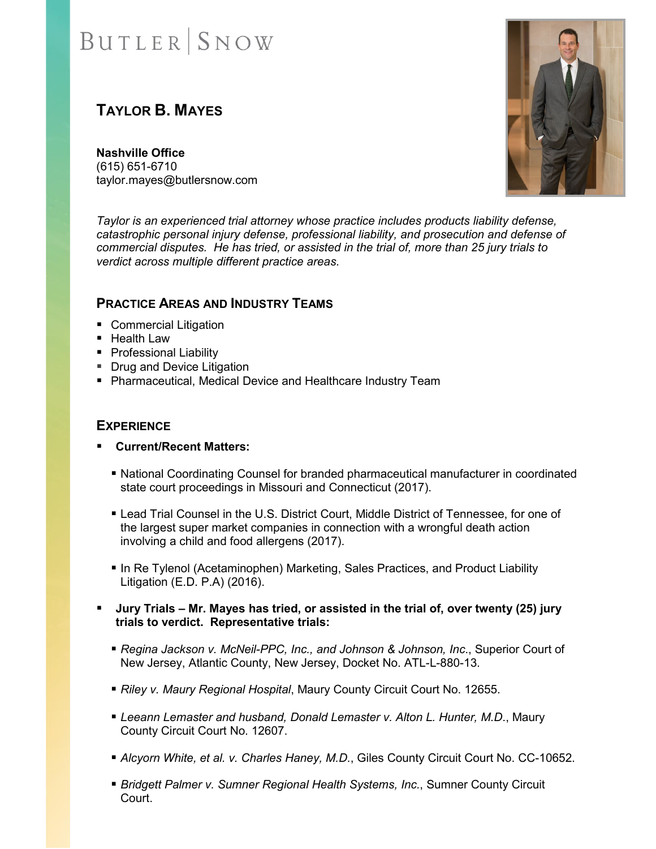# **BUTLER** SNOW

### **TAYLOR B. MAYES**

**Nashville Office** (615) 651-6710 taylor.mayes@butlersnow.com



*Taylor is an experienced trial attorney whose practice includes products liability defense, catastrophic personal injury defense, professional liability, and prosecution and defense of commercial disputes. He has tried, or assisted in the trial of, more than 25 jury trials to verdict across multiple different practice areas.*

#### **PRACTICE AREAS AND INDUSTRY TEAMS**

- Commercial Litigation
- Health Law
- **Professional Liability**
- **Drug and Device Litigation**
- Pharmaceutical, Medical Device and Healthcare Industry Team

#### **EXPERIENCE**

- **Current/Recent Matters:**
	- National Coordinating Counsel for branded pharmaceutical manufacturer in coordinated state court proceedings in Missouri and Connecticut (2017).
	- Lead Trial Counsel in the U.S. District Court, Middle District of Tennessee, for one of the largest super market companies in connection with a wrongful death action involving a child and food allergens (2017).
	- **In Re Tylenol (Acetaminophen) Marketing, Sales Practices, and Product Liability** Litigation (E.D. P.A) (2016).
- **Jury Trials Mr. Mayes has tried, or assisted in the trial of, over twenty (25) jury trials to verdict. Representative trials:**
	- *Regina Jackson v. McNeil-PPC, Inc., and Johnson & Johnson, Inc*., Superior Court of New Jersey, Atlantic County, New Jersey, Docket No. ATL-L-880-13.
	- *Riley v. Maury Regional Hospital*, Maury County Circuit Court No. 12655.
	- *Leeann Lemaster and husband, Donald Lemaster v. Alton L. Hunter, M.D*., Maury County Circuit Court No. 12607.
	- *Alcyorn White, et al. v. Charles Haney, M.D.*, Giles County Circuit Court No. CC-10652.
	- *Bridgett Palmer v. Sumner Regional Health Systems, Inc.*, Sumner County Circuit Court.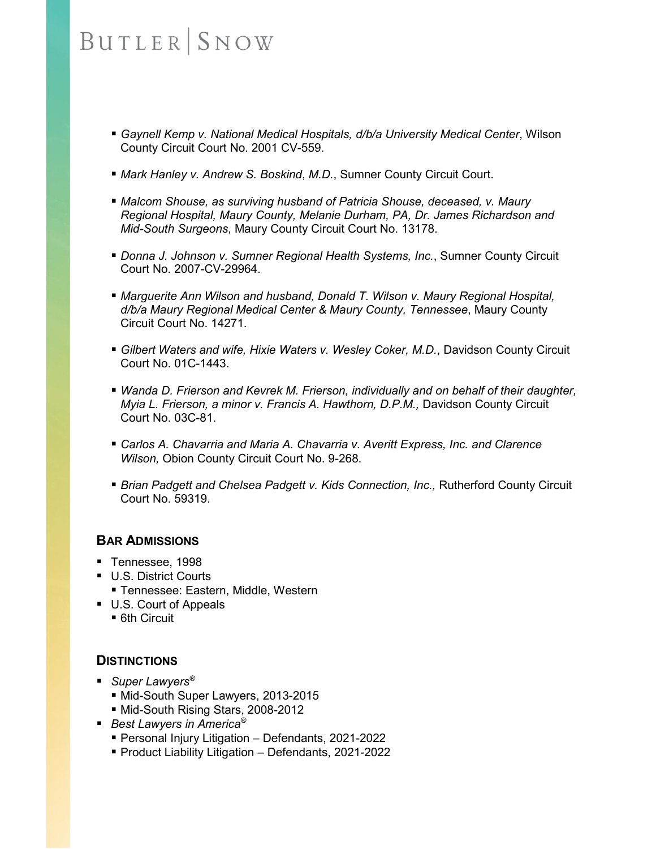## **BUTLER** SNOW

- *Gaynell Kemp v. National Medical Hospitals, d/b/a University Medical Center*, Wilson County Circuit Court No. 2001 CV-559.
- *Mark Hanley v. Andrew S. Boskind*, *M.D.*, Sumner County Circuit Court.
- *Malcom Shouse, as surviving husband of Patricia Shouse, deceased, v. Maury Regional Hospital, Maury County, Melanie Durham, PA, Dr. James Richardson and Mid-South Surgeons*, Maury County Circuit Court No. 13178.
- *Donna J. Johnson v. Sumner Regional Health Systems, Inc.*, Sumner County Circuit Court No. 2007-CV-29964.
- **Marguerite Ann Wilson and husband, Donald T. Wilson v. Maury Regional Hospital,** *d/b/a Maury Regional Medical Center & Maury County, Tennessee*, Maury County Circuit Court No. 14271.
- *Gilbert Waters and wife, Hixie Waters v. Wesley Coker, M.D.*, Davidson County Circuit Court No. 01C-1443.
- *Wanda D. Frierson and Kevrek M. Frierson, individually and on behalf of their daughter, Myia L. Frierson, a minor v. Francis A. Hawthorn, D.P.M.,* Davidson County Circuit Court No. 03C-81.
- *Carlos A. Chavarria and Maria A. Chavarria v. Averitt Express, Inc. and Clarence Wilson,* Obion County Circuit Court No. 9-268.
- *Brian Padgett and Chelsea Padgett v. Kids Connection, Inc.,* Rutherford County Circuit Court No. 59319.

#### **BAR ADMISSIONS**

- Tennessee, 1998
- **U.S. District Courts** 
	- Tennessee: Eastern, Middle, Western
- U.S. Court of Appeals ■ 6th Circuit

#### **DISTINCTIONS**

- *Super Lawyers*<sup>®</sup>
	- Mid-South Super Lawyers, 2013-2015
	- Mid-South Rising Stars, 2008-2012
- *Best Lawyers in America<sup>®</sup>* 
	- Personal Injury Litigation Defendants, 2021-2022
	- Product Liability Litigation Defendants, 2021-2022